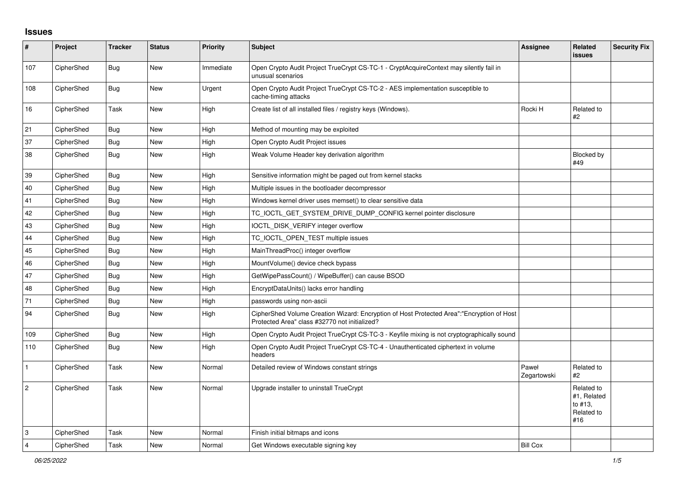## **Issues**

| #            | <b>Project</b> | <b>Tracker</b> | <b>Status</b> | <b>Priority</b> | <b>Subject</b>                                                                                                                             | Assignee             | <b>Related</b><br><b>issues</b>                           | <b>Security Fix</b> |
|--------------|----------------|----------------|---------------|-----------------|--------------------------------------------------------------------------------------------------------------------------------------------|----------------------|-----------------------------------------------------------|---------------------|
| 107          | CipherShed     | <b>Bug</b>     | New           | Immediate       | Open Crypto Audit Project TrueCrypt CS-TC-1 - CryptAcquireContext may silently fail in<br>unusual scenarios                                |                      |                                                           |                     |
| 108          | CipherShed     | Bug            | New           | Urgent          | Open Crypto Audit Project TrueCrypt CS-TC-2 - AES implementation susceptible to<br>cache-timing attacks                                    |                      |                                                           |                     |
| 16           | CipherShed     | Task           | New           | High            | Create list of all installed files / registry keys (Windows).                                                                              | Rocki H              | Related to<br>#2                                          |                     |
| 21           | CipherShed     | Bug            | New           | High            | Method of mounting may be exploited                                                                                                        |                      |                                                           |                     |
| 37           | CipherShed     | Bug            | <b>New</b>    | High            | Open Crypto Audit Project issues                                                                                                           |                      |                                                           |                     |
| 38           | CipherShed     | Bug            | New           | High            | Weak Volume Header key derivation algorithm                                                                                                |                      | Blocked by<br>#49                                         |                     |
| 39           | CipherShed     | <b>Bug</b>     | New           | High            | Sensitive information might be paged out from kernel stacks                                                                                |                      |                                                           |                     |
| 40           | CipherShed     | Bug            | <b>New</b>    | High            | Multiple issues in the bootloader decompressor                                                                                             |                      |                                                           |                     |
| 41           | CipherShed     | <b>Bug</b>     | New           | High            | Windows kernel driver uses memset() to clear sensitive data                                                                                |                      |                                                           |                     |
| 42           | CipherShed     | <b>Bug</b>     | <b>New</b>    | High            | TC_IOCTL_GET_SYSTEM_DRIVE_DUMP_CONFIG kernel pointer disclosure                                                                            |                      |                                                           |                     |
| 43           | CipherShed     | <b>Bug</b>     | <b>New</b>    | High            | IOCTL_DISK_VERIFY integer overflow                                                                                                         |                      |                                                           |                     |
| 44           | CipherShed     | <b>Bug</b>     | <b>New</b>    | High            | TC_IOCTL_OPEN_TEST multiple issues                                                                                                         |                      |                                                           |                     |
| 45           | CipherShed     | Bug            | New           | High            | MainThreadProc() integer overflow                                                                                                          |                      |                                                           |                     |
| 46           | CipherShed     | <b>Bug</b>     | New           | High            | MountVolume() device check bypass                                                                                                          |                      |                                                           |                     |
| 47           | CipherShed     | <b>Bug</b>     | <b>New</b>    | High            | GetWipePassCount() / WipeBuffer() can cause BSOD                                                                                           |                      |                                                           |                     |
| 48           | CipherShed     | <b>Bug</b>     | <b>New</b>    | High            | EncryptDataUnits() lacks error handling                                                                                                    |                      |                                                           |                     |
| 71           | CipherShed     | Bug            | <b>New</b>    | High            | passwords using non-ascii                                                                                                                  |                      |                                                           |                     |
| 94           | CipherShed     | Bug            | New           | High            | CipherShed Volume Creation Wizard: Encryption of Host Protected Area":"Encryption of Host<br>Protected Area" class #32770 not initialized? |                      |                                                           |                     |
| 109          | CipherShed     | <b>Bug</b>     | <b>New</b>    | High            | Open Crypto Audit Project TrueCrypt CS-TC-3 - Keyfile mixing is not cryptographically sound                                                |                      |                                                           |                     |
| 110          | CipherShed     | Bug            | <b>New</b>    | High            | Open Crypto Audit Project TrueCrypt CS-TC-4 - Unauthenticated ciphertext in volume<br>headers                                              |                      |                                                           |                     |
| $\mathbf{1}$ | CipherShed     | Task           | <b>New</b>    | Normal          | Detailed review of Windows constant strings                                                                                                | Paweł<br>Zegartowski | Related to<br>#2                                          |                     |
| $\vert$ 2    | CipherShed     | Task           | <b>New</b>    | Normal          | Upgrade installer to uninstall TrueCrypt                                                                                                   |                      | Related to<br>#1, Related<br>to #13.<br>Related to<br>#16 |                     |
| 3            | CipherShed     | Task           | <b>New</b>    | Normal          | Finish initial bitmaps and icons                                                                                                           |                      |                                                           |                     |
| 4            | CipherShed     | Task           | New           | Normal          | Get Windows executable signing key                                                                                                         | <b>Bill Cox</b>      |                                                           |                     |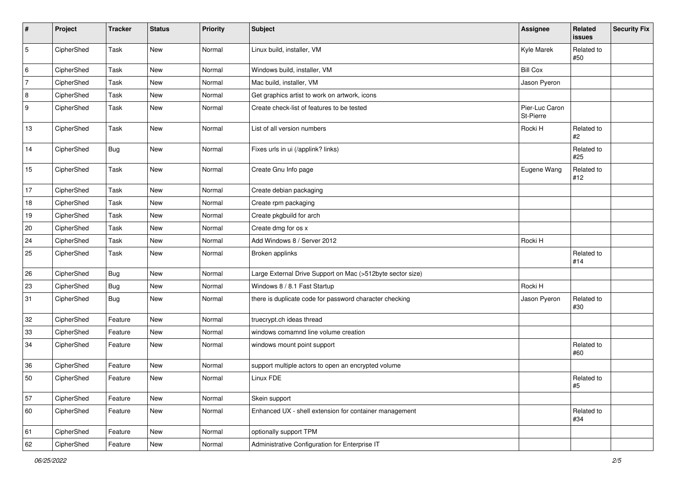| #              | Project    | <b>Tracker</b> | <b>Status</b> | <b>Priority</b> | Subject                                                    | Assignee                    | Related<br>issues | Security Fix |
|----------------|------------|----------------|---------------|-----------------|------------------------------------------------------------|-----------------------------|-------------------|--------------|
| $\mathbf 5$    | CipherShed | Task           | New           | Normal          | Linux build, installer, VM                                 | Kyle Marek                  | Related to<br>#50 |              |
| 6              | CipherShed | Task           | New           | Normal          | Windows build, installer, VM                               | <b>Bill Cox</b>             |                   |              |
| $\overline{7}$ | CipherShed | Task           | New           | Normal          | Mac build, installer, VM                                   | Jason Pyeron                |                   |              |
| 8              | CipherShed | Task           | New           | Normal          | Get graphics artist to work on artwork, icons              |                             |                   |              |
| 9              | CipherShed | Task           | New           | Normal          | Create check-list of features to be tested                 | Pier-Luc Caron<br>St-Pierre |                   |              |
| 13             | CipherShed | Task           | New           | Normal          | List of all version numbers                                | Rocki H                     | Related to<br>#2  |              |
| 14             | CipherShed | <b>Bug</b>     | New           | Normal          | Fixes urls in ui (/applink? links)                         |                             | Related to<br>#25 |              |
| 15             | CipherShed | Task           | New           | Normal          | Create Gnu Info page                                       | Eugene Wang                 | Related to<br>#12 |              |
| 17             | CipherShed | Task           | New           | Normal          | Create debian packaging                                    |                             |                   |              |
| 18             | CipherShed | Task           | New           | Normal          | Create rpm packaging                                       |                             |                   |              |
| 19             | CipherShed | Task           | New           | Normal          | Create pkgbuild for arch                                   |                             |                   |              |
| $20\,$         | CipherShed | Task           | New           | Normal          | Create dmg for os x                                        |                             |                   |              |
| 24             | CipherShed | Task           | New           | Normal          | Add Windows 8 / Server 2012                                | Rocki H                     |                   |              |
| 25             | CipherShed | Task           | New           | Normal          | Broken applinks                                            |                             | Related to<br>#14 |              |
| 26             | CipherShed | Bug            | New           | Normal          | Large External Drive Support on Mac (>512byte sector size) |                             |                   |              |
| 23             | CipherShed | <b>Bug</b>     | New           | Normal          | Windows 8 / 8.1 Fast Startup                               | Rocki H                     |                   |              |
| 31             | CipherShed | <b>Bug</b>     | New           | Normal          | there is duplicate code for password character checking    | Jason Pyeron                | Related to<br>#30 |              |
| 32             | CipherShed | Feature        | New           | Normal          | truecrypt.ch ideas thread                                  |                             |                   |              |
| 33             | CipherShed | Feature        | New           | Normal          | windows comamnd line volume creation                       |                             |                   |              |
| 34             | CipherShed | Feature        | New           | Normal          | windows mount point support                                |                             | Related to<br>#60 |              |
| 36             | CipherShed | Feature        | New           | Normal          | support multiple actors to open an encrypted volume        |                             |                   |              |
| 50             | CipherShed | Feature        | New           | Normal          | Linux FDE                                                  |                             | Related to<br>#5  |              |
| 57             | CipherShed | Feature        | New           | Normal          | Skein support                                              |                             |                   |              |
| 60             | CipherShed | Feature        | New           | Normal          | Enhanced UX - shell extension for container management     |                             | Related to<br>#34 |              |
| 61             | CipherShed | Feature        | New           | Normal          | optionally support TPM                                     |                             |                   |              |
| 62             | CipherShed | Feature        | New           | Normal          | Administrative Configuration for Enterprise IT             |                             |                   |              |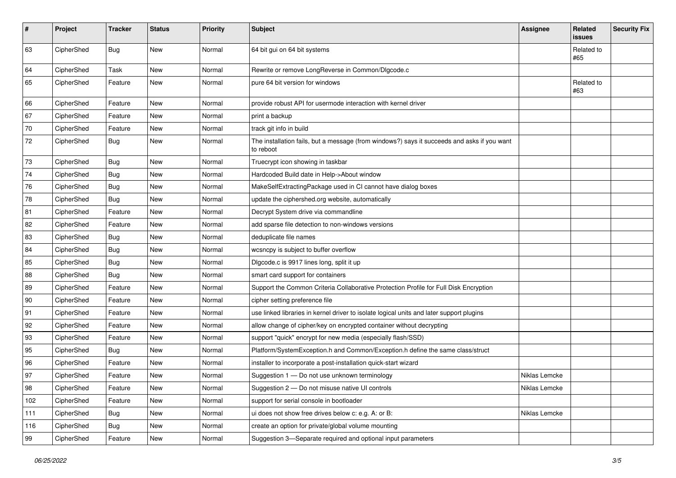| #   | Project    | <b>Tracker</b> | <b>Status</b> | <b>Priority</b> | <b>Subject</b>                                                                                           | <b>Assignee</b> | Related<br>issues | <b>Security Fix</b> |
|-----|------------|----------------|---------------|-----------------|----------------------------------------------------------------------------------------------------------|-----------------|-------------------|---------------------|
| 63  | CipherShed | Bug            | <b>New</b>    | Normal          | 64 bit gui on 64 bit systems                                                                             |                 | Related to<br>#65 |                     |
| 64  | CipherShed | Task           | New           | Normal          | Rewrite or remove LongReverse in Common/DIgcode.c                                                        |                 |                   |                     |
| 65  | CipherShed | Feature        | New           | Normal          | pure 64 bit version for windows                                                                          |                 | Related to<br>#63 |                     |
| 66  | CipherShed | Feature        | <b>New</b>    | Normal          | provide robust API for usermode interaction with kernel driver                                           |                 |                   |                     |
| 67  | CipherShed | Feature        | New           | Normal          | print a backup                                                                                           |                 |                   |                     |
| 70  | CipherShed | Feature        | New           | Normal          | track git info in build                                                                                  |                 |                   |                     |
| 72  | CipherShed | Bug            | New           | Normal          | The installation fails, but a message (from windows?) says it succeeds and asks if you want<br>to reboot |                 |                   |                     |
| 73  | CipherShed | <b>Bug</b>     | New           | Normal          | Truecrypt icon showing in taskbar                                                                        |                 |                   |                     |
| 74  | CipherShed | <b>Bug</b>     | New           | Normal          | Hardcoded Build date in Help->About window                                                               |                 |                   |                     |
| 76  | CipherShed | Bug            | New           | Normal          | MakeSelfExtractingPackage used in CI cannot have dialog boxes                                            |                 |                   |                     |
| 78  | CipherShed | <b>Bug</b>     | New           | Normal          | update the ciphershed.org website, automatically                                                         |                 |                   |                     |
| 81  | CipherShed | Feature        | New           | Normal          | Decrypt System drive via commandline                                                                     |                 |                   |                     |
| 82  | CipherShed | Feature        | New           | Normal          | add sparse file detection to non-windows versions                                                        |                 |                   |                     |
| 83  | CipherShed | <b>Bug</b>     | <b>New</b>    | Normal          | deduplicate file names                                                                                   |                 |                   |                     |
| 84  | CipherShed | <b>Bug</b>     | New           | Normal          | wcsncpy is subject to buffer overflow                                                                    |                 |                   |                     |
| 85  | CipherShed | <b>Bug</b>     | New           | Normal          | Digcode.c is 9917 lines long, split it up                                                                |                 |                   |                     |
| 88  | CipherShed | <b>Bug</b>     | New           | Normal          | smart card support for containers                                                                        |                 |                   |                     |
| 89  | CipherShed | Feature        | New           | Normal          | Support the Common Criteria Collaborative Protection Profile for Full Disk Encryption                    |                 |                   |                     |
| 90  | CipherShed | Feature        | New           | Normal          | cipher setting preference file                                                                           |                 |                   |                     |
| 91  | CipherShed | Feature        | New           | Normal          | use linked libraries in kernel driver to isolate logical units and later support plugins                 |                 |                   |                     |
| 92  | CipherShed | Feature        | New           | Normal          | allow change of cipher/key on encrypted container without decrypting                                     |                 |                   |                     |
| 93  | CipherShed | Feature        | New           | Normal          | support "quick" encrypt for new media (especially flash/SSD)                                             |                 |                   |                     |
| 95  | CipherShed | Bug            | <b>New</b>    | Normal          | Platform/SystemException.h and Common/Exception.h define the same class/struct                           |                 |                   |                     |
| 96  | CipherShed | Feature        | New           | Normal          | installer to incorporate a post-installation quick-start wizard                                          |                 |                   |                     |
| 97  | CipherShed | Feature        | New           | Normal          | Suggestion 1 - Do not use unknown terminology                                                            | Niklas Lemcke   |                   |                     |
| 98  | CipherShed | Feature        | New           | Normal          | Suggestion 2 - Do not misuse native UI controls                                                          | Niklas Lemcke   |                   |                     |
| 102 | CipherShed | Feature        | New           | Normal          | support for serial console in bootloader                                                                 |                 |                   |                     |
| 111 | CipherShed | Bug            | New           | Normal          | ui does not show free drives below c: e.g. A: or B:                                                      | Niklas Lemcke   |                   |                     |
| 116 | CipherShed | <b>Bug</b>     | New           | Normal          | create an option for private/global volume mounting                                                      |                 |                   |                     |
| 99  | CipherShed | Feature        | New           | Normal          | Suggestion 3-Separate required and optional input parameters                                             |                 |                   |                     |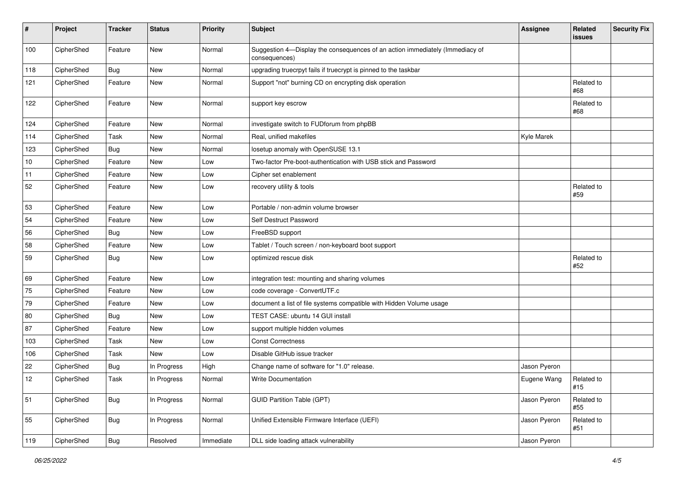| #   | Project    | <b>Tracker</b> | <b>Status</b> | <b>Priority</b> | <b>Subject</b>                                                                                | <b>Assignee</b> | Related<br>issues | <b>Security Fix</b> |
|-----|------------|----------------|---------------|-----------------|-----------------------------------------------------------------------------------------------|-----------------|-------------------|---------------------|
| 100 | CipherShed | Feature        | New           | Normal          | Suggestion 4-Display the consequences of an action immediately (Immediacy of<br>consequences) |                 |                   |                     |
| 118 | CipherShed | <b>Bug</b>     | <b>New</b>    | Normal          | upgrading truecrpyt fails if truecrypt is pinned to the taskbar                               |                 |                   |                     |
| 121 | CipherShed | Feature        | New           | Normal          | Support "not" burning CD on encrypting disk operation                                         |                 | Related to<br>#68 |                     |
| 122 | CipherShed | Feature        | New           | Normal          | support key escrow                                                                            |                 | Related to<br>#68 |                     |
| 124 | CipherShed | Feature        | <b>New</b>    | Normal          | investigate switch to FUDforum from phpBB                                                     |                 |                   |                     |
| 114 | CipherShed | Task           | New           | Normal          | Real, unified makefiles                                                                       | Kyle Marek      |                   |                     |
| 123 | CipherShed | Bug            | New           | Normal          | losetup anomaly with OpenSUSE 13.1                                                            |                 |                   |                     |
| 10  | CipherShed | Feature        | <b>New</b>    | Low             | Two-factor Pre-boot-authentication with USB stick and Password                                |                 |                   |                     |
| 11  | CipherShed | Feature        | New           | Low             | Cipher set enablement                                                                         |                 |                   |                     |
| 52  | CipherShed | Feature        | New           | Low             | recovery utility & tools                                                                      |                 | Related to<br>#59 |                     |
| 53  | CipherShed | Feature        | New           | Low             | Portable / non-admin volume browser                                                           |                 |                   |                     |
| 54  | CipherShed | Feature        | <b>New</b>    | Low             | Self Destruct Password                                                                        |                 |                   |                     |
| 56  | CipherShed | Bug            | New           | Low             | FreeBSD support                                                                               |                 |                   |                     |
| 58  | CipherShed | Feature        | New           | Low             | Tablet / Touch screen / non-keyboard boot support                                             |                 |                   |                     |
| 59  | CipherShed | <b>Bug</b>     | <b>New</b>    | Low             | optimized rescue disk                                                                         |                 | Related to<br>#52 |                     |
| 69  | CipherShed | Feature        | New           | Low             | integration test: mounting and sharing volumes                                                |                 |                   |                     |
| 75  | CipherShed | Feature        | New           | Low             | code coverage - ConvertUTF.c                                                                  |                 |                   |                     |
| 79  | CipherShed | Feature        | New           | Low             | document a list of file systems compatible with Hidden Volume usage                           |                 |                   |                     |
| 80  | CipherShed | <b>Bug</b>     | New           | Low             | TEST CASE: ubuntu 14 GUI install                                                              |                 |                   |                     |
| 87  | CipherShed | Feature        | <b>New</b>    | Low             | support multiple hidden volumes                                                               |                 |                   |                     |
| 103 | CipherShed | Task           | New           | Low             | <b>Const Correctness</b>                                                                      |                 |                   |                     |
| 106 | CipherShed | Task           | <b>New</b>    | Low             | Disable GitHub issue tracker                                                                  |                 |                   |                     |
| 22  | CipherShed | <b>Bug</b>     | In Progress   | High            | Change name of software for "1.0" release.                                                    | Jason Pyeron    |                   |                     |
| 12  | CipherShed | Task           | In Progress   | Normal          | <b>Write Documentation</b>                                                                    | Eugene Wang     | Related to<br>#15 |                     |
| 51  | CipherShed | <b>Bug</b>     | In Progress   | Normal          | <b>GUID Partition Table (GPT)</b>                                                             | Jason Pyeron    | Related to<br>#55 |                     |
| 55  | CipherShed | Bug            | In Progress   | Normal          | Unified Extensible Firmware Interface (UEFI)                                                  | Jason Pyeron    | Related to<br>#51 |                     |
| 119 | CipherShed | <b>Bug</b>     | Resolved      | Immediate       | DLL side loading attack vulnerability                                                         | Jason Pyeron    |                   |                     |